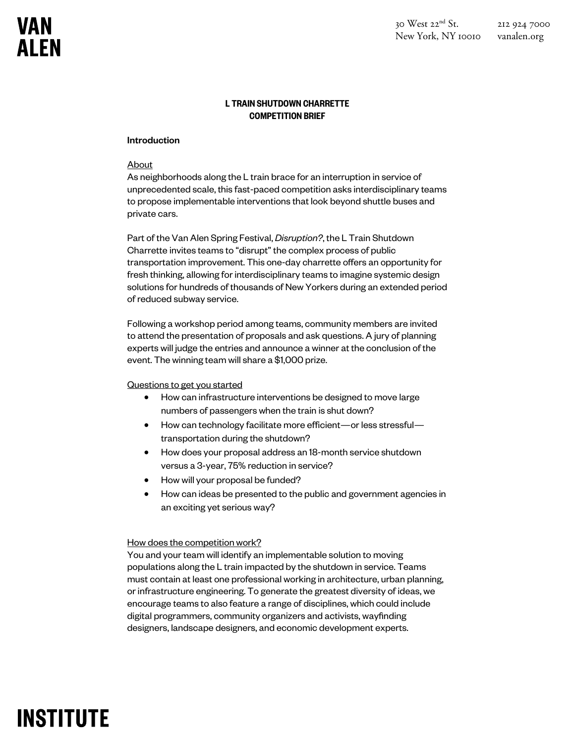### L TRAIN SHUTDOWN CHARRETTE COMPETITION BRIEF

#### Introduction

#### **About**

As neighborhoods along the L train brace for an interruption in service of unprecedented scale, this fast-paced competition asks interdisciplinary teams to propose implementable interventions that look beyond shuttle buses and private cars.

Part of the Van Alen Spring Festival, *Disruption?*, the L Train Shutdown Charrette invites teams to "disrupt" the complex process of public transportation improvement. This one-day charrette offers an opportunity for fresh thinking, allowing for interdisciplinary teams to imagine systemic design solutions for hundreds of thousands of New Yorkers during an extended period of reduced subway service.

Following a workshop period among teams, community members are invited to attend the presentation of proposals and ask questions. A jury of planning experts will judge the entries and announce a winner at the conclusion of the event. The winning team will share a \$1,000 prize.

### Questions to get you started

- How can infrastructure interventions be designed to move large numbers of passengers when the train is shut down?
- How can technology facilitate more efficient—or less stressful transportation during the shutdown?
- How does your proposal address an 18-month service shutdown versus a 3-year, 75% reduction in service?
- How will your proposal be funded?
- How can ideas be presented to the public and government agencies in an exciting yet serious way?

#### How does the competition work?

You and your team will identify an implementable solution to moving populations along the L train impacted by the shutdown in service. Teams must contain at least one professional working in architecture, urban planning, or infrastructure engineering. To generate the greatest diversity of ideas, we encourage teams to also feature a range of disciplines, which could include digital programmers, community organizers and activists, wayfinding designers, landscape designers, and economic development experts.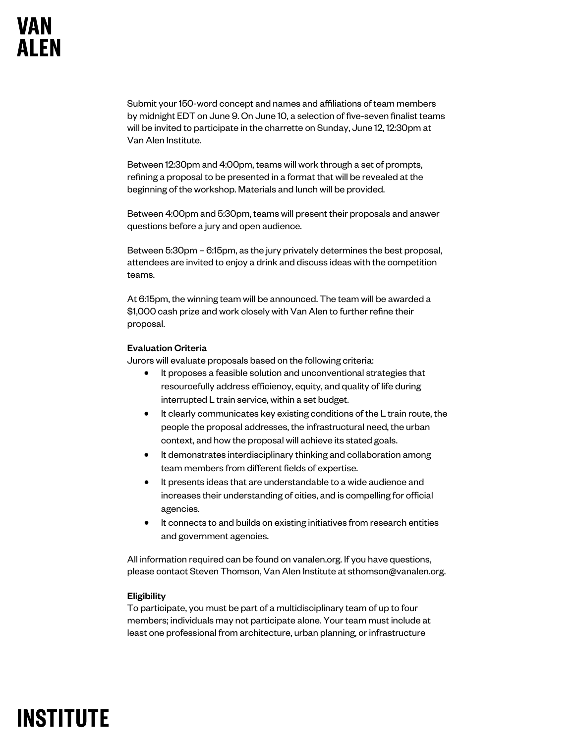Submit your 150-word concept and names and affiliations of team members by midnight EDT on June 9. On June 10, a selection of five-seven finalist teams will be invited to participate in the charrette on Sunday, June 12, 12:30pm at Van Alen Institute.

Between 12:30pm and 4:00pm, teams will work through a set of prompts, refining a proposal to be presented in a format that will be revealed at the beginning of the workshop. Materials and lunch will be provided.

Between 4:00pm and 5:30pm, teams will present their proposals and answer questions before a jury and open audience.

Between 5:30pm – 6:15pm, as the jury privately determines the best proposal, attendees are invited to enjoy a drink and discuss ideas with the competition teams.

At 6:15pm, the winning team will be announced. The team will be awarded a \$1,000 cash prize and work closely with Van Alen to further refine their proposal.

### Evaluation Criteria

Jurors will evaluate proposals based on the following criteria:

- It proposes a feasible solution and unconventional strategies that resourcefully address efficiency, equity, and quality of life during interrupted L train service, within a set budget.
- It clearly communicates key existing conditions of the L train route, the people the proposal addresses, the infrastructural need, the urban context, and how the proposal will achieve its stated goals.
- It demonstrates interdisciplinary thinking and collaboration among team members from different fields of expertise.
- It presents ideas that are understandable to a wide audience and increases their understanding of cities, and is compelling for official agencies.
- It connects to and builds on existing initiatives from research entities and government agencies.

All information required can be found on vanalen.org. If you have questions, please contact Steven Thomson, Van Alen Institute at sthomson@vanalen.org.

### **Eligibility**

To participate, you must be part of a multidisciplinary team of up to four members; individuals may not participate alone. Your team must include at least one professional from architecture, urban planning, or infrastructure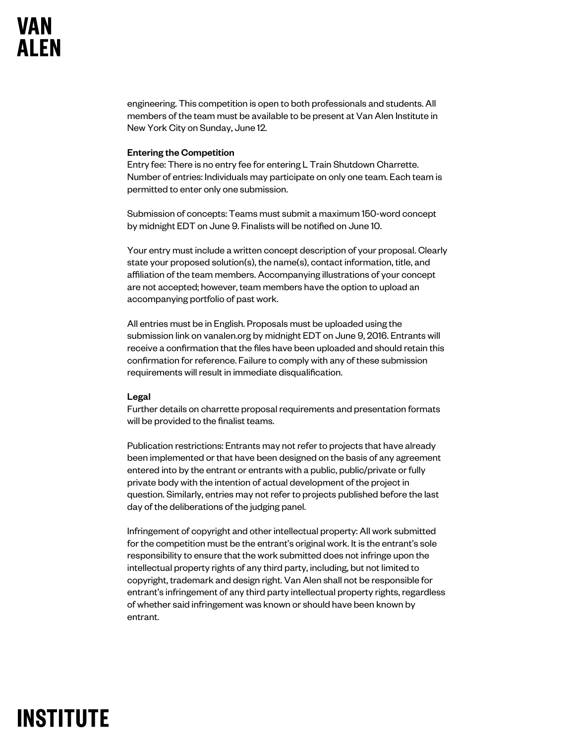engineering. This competition is open to both professionals and students. All members of the team must be available to be present at Van Alen Institute in New York City on Sunday, June 12.

#### Entering the Competition

Entry fee: There is no entry fee for entering L Train Shutdown Charrette. Number of entries: Individuals may participate on only one team. Each team is permitted to enter only one submission.

Submission of concepts: Teams must submit a maximum 150-word concept by midnight EDT on June 9. Finalists will be notified on June 10.

Your entry must include a written concept description of your proposal. Clearly state your proposed solution(s), the name(s), contact information, title, and affiliation of the team members. Accompanying illustrations of your concept are not accepted; however, team members have the option to upload an accompanying portfolio of past work.

All entries must be in English. Proposals must be uploaded using the submission link on vanalen.org by midnight EDT on June 9, 2016. Entrants will receive a confirmation that the files have been uploaded and should retain this confirmation for reference. Failure to comply with any of these submission requirements will result in immediate disqualification.

#### Legal

Further details on charrette proposal requirements and presentation formats will be provided to the finalist teams.

Publication restrictions: Entrants may not refer to projects that have already been implemented or that have been designed on the basis of any agreement entered into by the entrant or entrants with a public, public/private or fully private body with the intention of actual development of the project in question. Similarly, entries may not refer to projects published before the last day of the deliberations of the judging panel.

Infringement of copyright and other intellectual property: All work submitted for the competition must be the entrant's original work. It is the entrant's sole responsibility to ensure that the work submitted does not infringe upon the intellectual property rights of any third party, including, but not limited to copyright, trademark and design right. Van Alen shall not be responsible for entrant's infringement of any third party intellectual property rights, regardless of whether said infringement was known or should have been known by entrant.